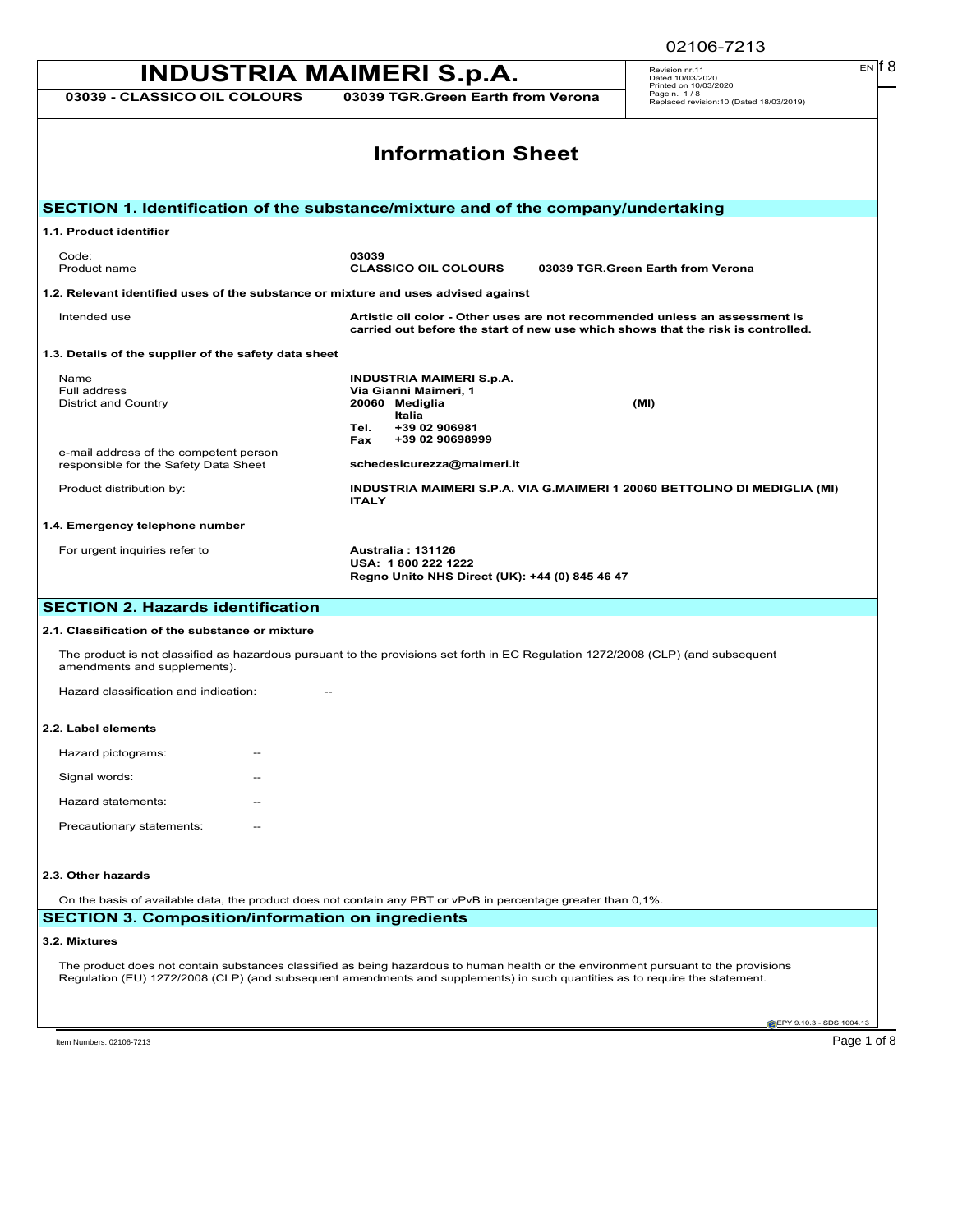| <b>INDUSTRIA MAIMERI S.p.A.</b>                                                                                                                                                                                                                                    | EN IT 8<br>Revision nr.11<br>Dated 10/03/2020                                                                                                                   |                                                                                 |  |  |
|--------------------------------------------------------------------------------------------------------------------------------------------------------------------------------------------------------------------------------------------------------------------|-----------------------------------------------------------------------------------------------------------------------------------------------------------------|---------------------------------------------------------------------------------|--|--|
| 03039 - CLASSICO OIL COLOURS                                                                                                                                                                                                                                       | 03039 TGR.Green Earth from Verona                                                                                                                               | Printed on 10/03/2020<br>Page n. 1/8<br>Replaced revision:10 (Dated 18/03/2019) |  |  |
| <b>Information Sheet</b>                                                                                                                                                                                                                                           |                                                                                                                                                                 |                                                                                 |  |  |
|                                                                                                                                                                                                                                                                    | SECTION 1. Identification of the substance/mixture and of the company/undertaking                                                                               |                                                                                 |  |  |
| 1.1. Product identifier                                                                                                                                                                                                                                            |                                                                                                                                                                 |                                                                                 |  |  |
| Code:<br>Product name                                                                                                                                                                                                                                              | 03039<br><b>CLASSICO OIL COLOURS</b>                                                                                                                            | 03039 TGR.Green Earth from Verona                                               |  |  |
| 1.2. Relevant identified uses of the substance or mixture and uses advised against                                                                                                                                                                                 |                                                                                                                                                                 |                                                                                 |  |  |
| Intended use                                                                                                                                                                                                                                                       | Artistic oil color - Other uses are not recommended unless an assessment is<br>carried out before the start of new use which shows that the risk is controlled. |                                                                                 |  |  |
| 1.3. Details of the supplier of the safety data sheet                                                                                                                                                                                                              |                                                                                                                                                                 |                                                                                 |  |  |
| Name<br>Full address<br><b>District and Country</b>                                                                                                                                                                                                                | <b>INDUSTRIA MAIMERI S.p.A.</b><br>Via Gianni Maimeri, 1<br>20060 Mediglia<br>Italia<br>+39 02 906981<br>Tel.<br>+39 02 90698999<br>Fax                         | (MI)                                                                            |  |  |
| e-mail address of the competent person<br>responsible for the Safety Data Sheet                                                                                                                                                                                    | schedesicurezza@maimeri.it                                                                                                                                      |                                                                                 |  |  |
| Product distribution by:                                                                                                                                                                                                                                           | INDUSTRIA MAIMERI S.P.A. VIA G.MAIMERI 1 20060 BETTOLINO DI MEDIGLIA (MI)<br><b>ITALY</b>                                                                       |                                                                                 |  |  |
| 1.4. Emergency telephone number                                                                                                                                                                                                                                    |                                                                                                                                                                 |                                                                                 |  |  |
| For urgent inquiries refer to                                                                                                                                                                                                                                      | <b>Australia: 131126</b><br>USA: 1800 222 1222<br>Regno Unito NHS Direct (UK): +44 (0) 845 46 47                                                                |                                                                                 |  |  |
| <b>SECTION 2. Hazards identification</b>                                                                                                                                                                                                                           |                                                                                                                                                                 |                                                                                 |  |  |
| 2.1. Classification of the substance or mixture                                                                                                                                                                                                                    |                                                                                                                                                                 |                                                                                 |  |  |
| amendments and supplements).                                                                                                                                                                                                                                       | The product is not classified as hazardous pursuant to the provisions set forth in EC Regulation 1272/2008 (CLP) (and subsequent                                |                                                                                 |  |  |
| Hazard classification and indication:                                                                                                                                                                                                                              |                                                                                                                                                                 |                                                                                 |  |  |
| 2.2. Label elements                                                                                                                                                                                                                                                |                                                                                                                                                                 |                                                                                 |  |  |
| Hazard pictograms:                                                                                                                                                                                                                                                 |                                                                                                                                                                 |                                                                                 |  |  |
| Signal words:                                                                                                                                                                                                                                                      |                                                                                                                                                                 |                                                                                 |  |  |
| Hazard statements:                                                                                                                                                                                                                                                 |                                                                                                                                                                 |                                                                                 |  |  |
| Precautionary statements:                                                                                                                                                                                                                                          |                                                                                                                                                                 |                                                                                 |  |  |
| 2.3. Other hazards                                                                                                                                                                                                                                                 |                                                                                                                                                                 |                                                                                 |  |  |
| On the basis of available data, the product does not contain any PBT or vPvB in percentage greater than 0,1%.<br><b>SECTION 3. Composition/information on ingredients</b>                                                                                          |                                                                                                                                                                 |                                                                                 |  |  |
| 3.2. Mixtures                                                                                                                                                                                                                                                      |                                                                                                                                                                 |                                                                                 |  |  |
| The product does not contain substances classified as being hazardous to human health or the environment pursuant to the provisions<br>Regulation (EU) 1272/2008 (CLP) (and subsequent amendments and supplements) in such quantities as to require the statement. |                                                                                                                                                                 |                                                                                 |  |  |
|                                                                                                                                                                                                                                                                    |                                                                                                                                                                 | EPY 9.10.3 - SDS 1004.13                                                        |  |  |

02106-7213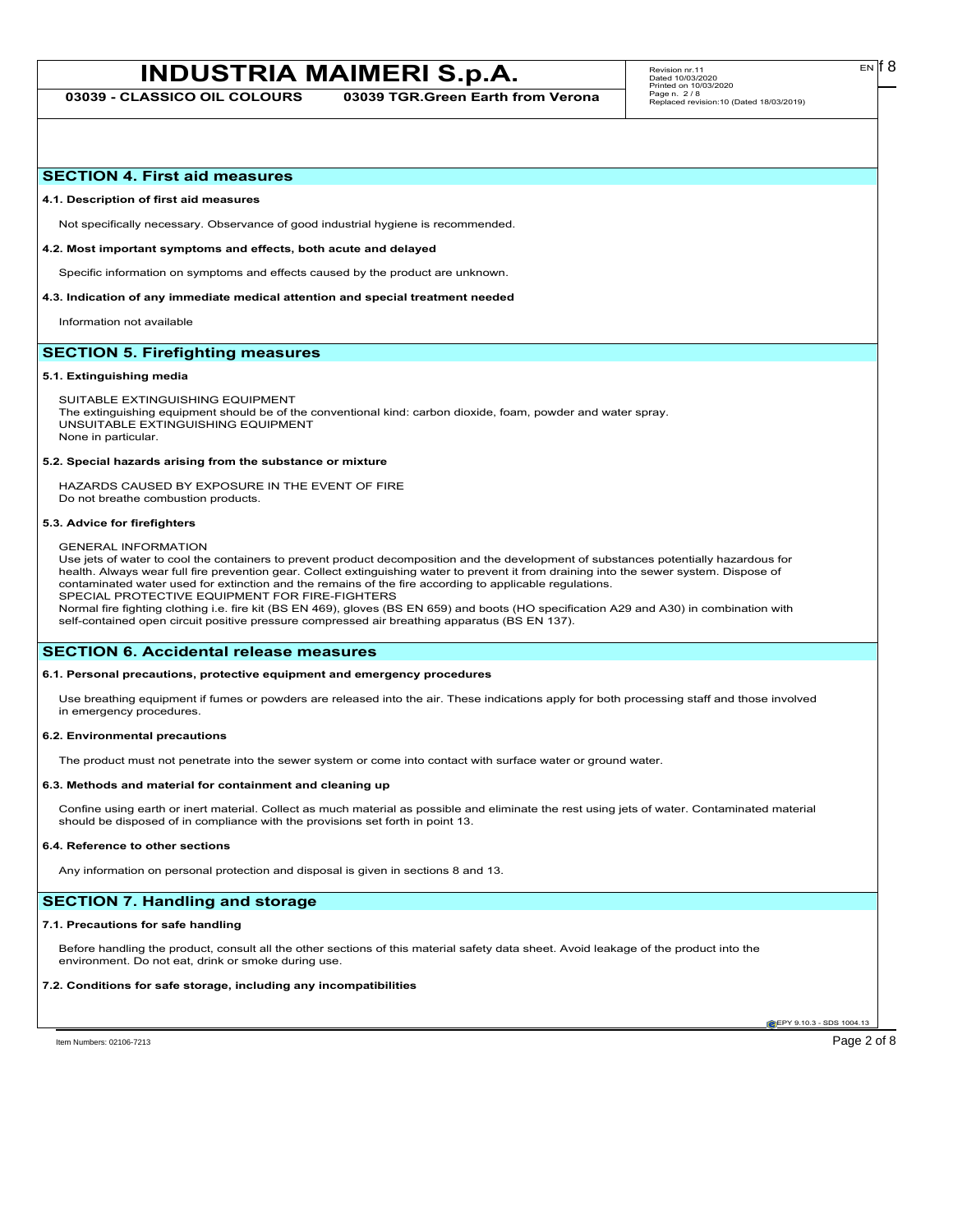**03039 - CLASSICO OIL COLOURS 03039 TGR.Green Earth from Verona**

## **SECTION 4. First aid measures**

#### **4.1. Description of first aid measures**

Not specifically necessary. Observance of good industrial hygiene is recommended.

#### **4.2. Most important symptoms and effects, both acute and delayed**

Specific information on symptoms and effects caused by the product are unknown.

## **4.3. Indication of any immediate medical attention and special treatment needed**

Information not available

# **SECTION 5. Firefighting measures**

### **5.1. Extinguishing media**

SUITABLE EXTINGUISHING EQUIPMENT The extinguishing equipment should be of the conventional kind: carbon dioxide, foam, powder and water spray. UNSUITABLE EXTINGUISHING EQUIPMENT None in particular.

#### **5.2. Special hazards arising from the substance or mixture**

HAZARDS CAUSED BY EXPOSURE IN THE EVENT OF FIRE Do not breathe combustion products.

#### **5.3. Advice for firefighters**

## GENERAL INFORMATION

Use jets of water to cool the containers to prevent product decomposition and the development of substances potentially hazardous for health. Always wear full fire prevention gear. Collect extinguishing water to prevent it from draining into the sewer system. Dispose of contaminated water used for extinction and the remains of the fire according to applicable regulations. SPECIAL PROTECTIVE EQUIPMENT FOR FIRE-FIGHTERS

Normal fire fighting clothing i.e. fire kit (BS EN 469), gloves (BS EN 659) and boots (HO specification A29 and A30) in combination with self-contained open circuit positive pressure compressed air breathing apparatus (BS EN 137).

## **SECTION 6. Accidental release measures**

## **6.1. Personal precautions, protective equipment and emergency procedures**

Use breathing equipment if fumes or powders are released into the air. These indications apply for both processing staff and those involved in emergency procedures.

## **6.2. Environmental precautions**

The product must not penetrate into the sewer system or come into contact with surface water or ground water.

#### **6.3. Methods and material for containment and cleaning up**

Confine using earth or inert material. Collect as much material as possible and eliminate the rest using jets of water. Contaminated material should be disposed of in compliance with the provisions set forth in point 13.

#### **6.4. Reference to other sections**

Any information on personal protection and disposal is given in sections 8 and 13.

# **SECTION 7. Handling and storage**

### **7.1. Precautions for safe handling**

Before handling the product, consult all the other sections of this material safety data sheet. Avoid leakage of the product into the environment. Do not eat, drink or smoke during use.

## **7.2. Conditions for safe storage, including any incompatibilities**

**EPY 9.10.3 - SDS 1004.13** 

EN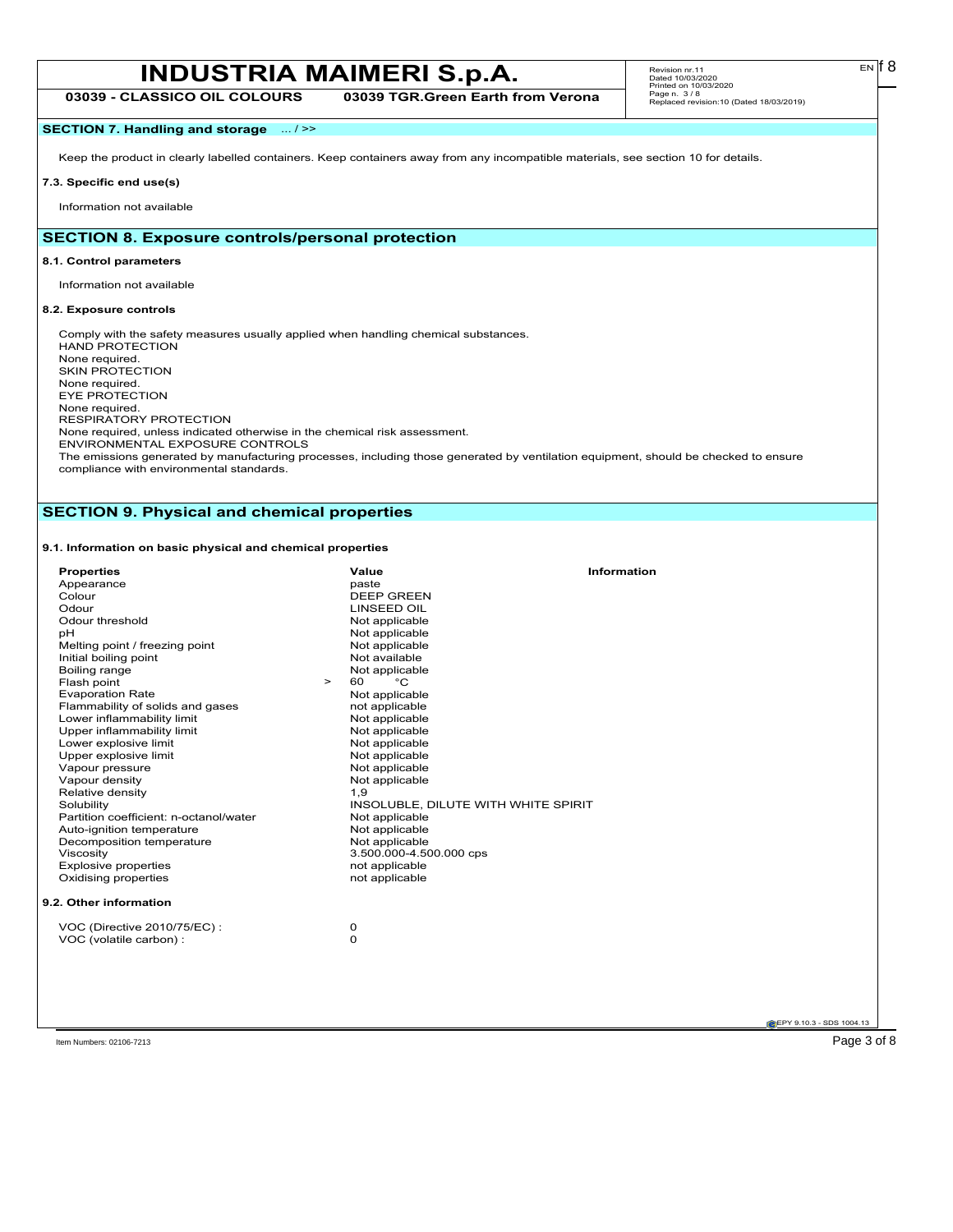| <b>INDUSTRIA MAIMERI S.p.A.</b> |                                   | Revision nr. 11<br>Dated 10/03/2020<br>Printed on 10/03/2020 | $_{EN}$ f $8$ |  |
|---------------------------------|-----------------------------------|--------------------------------------------------------------|---------------|--|
| 3039 - CLASSICO OIL COLOURS     | 03039 TGR.Green Earth from Verona | Page n. 3/8<br>Replaced revision:10 (Dated 18/03/2019)       |               |  |

# **SECTION 7. Handling and storage** ... / >>

Keep the product in clearly labelled containers. Keep containers away from any incompatible materials, see section 10 for details.

#### **7.3. Specific end use(s)**

Information not available

# **SECTION 8. Exposure controls/personal protection**

#### **8.1. Control parameters**

Information not available

#### **8.2. Exposure controls**

Comply with the safety measures usually applied when handling chemical substances. HAND PROTECTION None required. SKIN PROTECTION None required. EYE PROTECTION None required. RESPIRATORY PROTECTION None required, unless indicated otherwise in the chemical risk assessment. ENVIRONMENTAL EXPOSURE CONTROLS The emissions generated by manufacturing processes, including those generated by ventilation equipment, should be checked to ensure

compliance with environmental standards.

# **SECTION 9. Physical and chemical properties**

# **9.1. Information on basic physical and chemical properties**

| <b>Properties</b>                      | Value                               | <b>Information</b> |
|----------------------------------------|-------------------------------------|--------------------|
| Appearance                             | paste                               |                    |
| Colour                                 | <b>DEEP GREEN</b>                   |                    |
| Odour                                  | <b>LINSEED OIL</b>                  |                    |
| Odour threshold                        | Not applicable                      |                    |
| pH                                     | Not applicable                      |                    |
| Melting point / freezing point         | Not applicable                      |                    |
| Initial boiling point                  | Not available                       |                    |
| Boiling range                          | Not applicable                      |                    |
| Flash point<br>$\geq$                  | °C<br>60                            |                    |
| <b>Evaporation Rate</b>                | Not applicable                      |                    |
| Flammability of solids and gases       | not applicable                      |                    |
| Lower inflammability limit             | Not applicable                      |                    |
| Upper inflammability limit             | Not applicable                      |                    |
| Lower explosive limit                  | Not applicable                      |                    |
| Upper explosive limit                  | Not applicable                      |                    |
| Vapour pressure                        | Not applicable                      |                    |
| Vapour density                         | Not applicable                      |                    |
| Relative density                       | 1,9                                 |                    |
| Solubility                             | INSOLUBLE, DILUTE WITH WHITE SPIRIT |                    |
| Partition coefficient: n-octanol/water | Not applicable                      |                    |
| Auto-ignition temperature              | Not applicable                      |                    |
| Decomposition temperature              | Not applicable                      |                    |
| Viscosity                              | 3.500.000-4.500.000 cps             |                    |
| <b>Explosive properties</b>            | not applicable                      |                    |
| Oxidising properties                   | not applicable                      |                    |
| 9.2. Other information                 |                                     |                    |
| VOC (Directive 2010/75/EC):            | 0                                   |                    |
| VOC (volatile carbon) :                | 0                                   |                    |
|                                        |                                     |                    |
|                                        |                                     |                    |
|                                        |                                     |                    |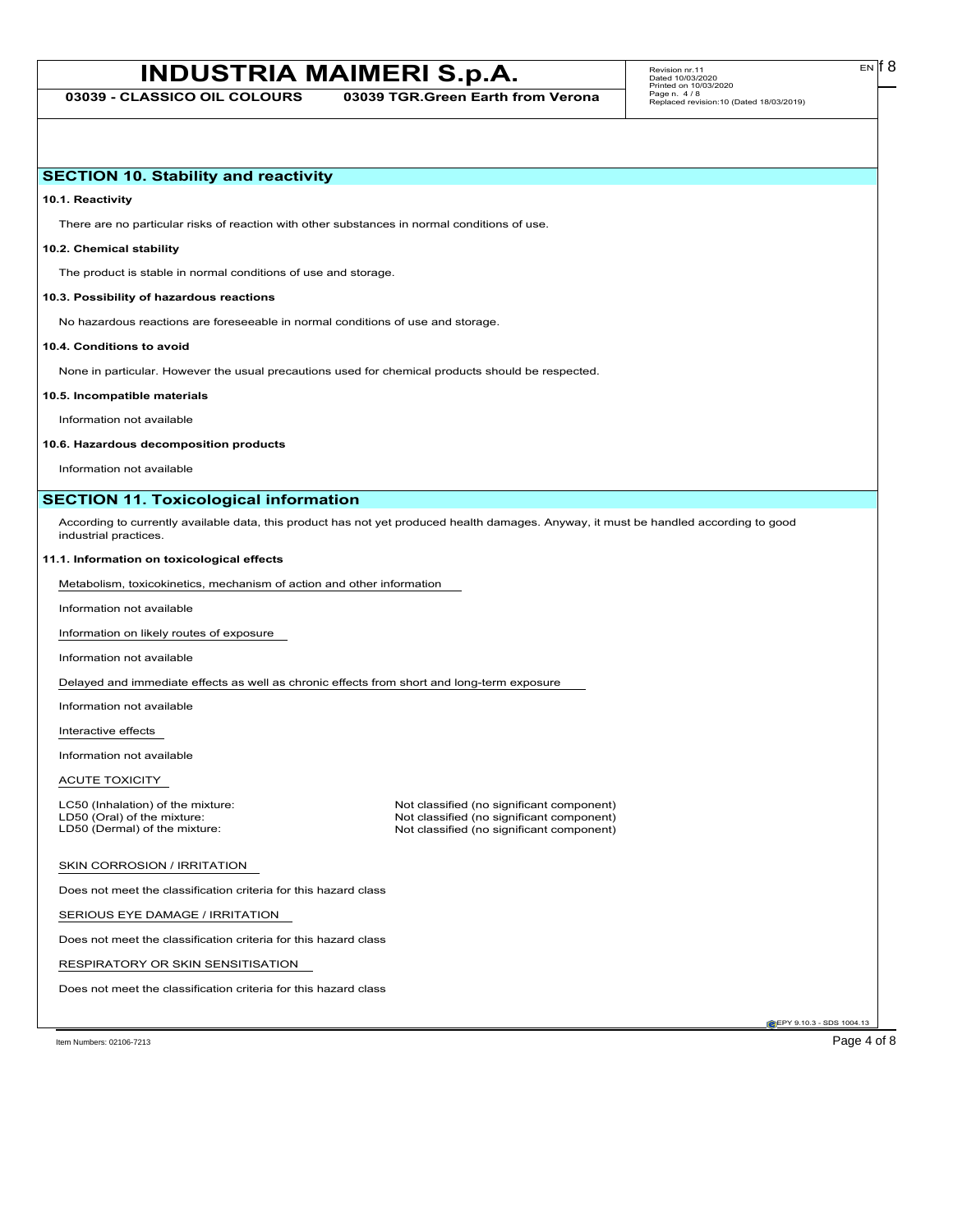**03039 - CLASSICO OIL COLOURS 03039 TGR.Green Earth from Verona**

Revision nr.11 Dated 10/03/2020 Printed on 10/03/2020 Page n. 4 / 8 Replaced revision:10 (Dated 18/03/2019)

# **SECTION 10. Stability and reactivity**

**10.1. Reactivity**

There are no particular risks of reaction with other substances in normal conditions of use.

# **10.2. Chemical stability**

The product is stable in normal conditions of use and storage.

## **10.3. Possibility of hazardous reactions**

No hazardous reactions are foreseeable in normal conditions of use and storage.

## **10.4. Conditions to avoid**

None in particular. However the usual precautions used for chemical products should be respected.

#### **10.5. Incompatible materials**

Information not available

### **10.6. Hazardous decomposition products**

Information not available

# **SECTION 11. Toxicological information**

According to currently available data, this product has not yet produced health damages. Anyway, it must be handled according to good industrial practices.

## **11.1. Information on toxicological effects**

Metabolism, toxicokinetics, mechanism of action and other information

Information not available

Information on likely routes of exposure

Information not available

Delayed and immediate effects as well as chronic effects from short and long-term exposure

Information not available

Interactive effects

Information not available

ACUTE TOXICITY

LC50 (Inhalation) of the mixture: Not classified (no significant component)<br>
LD50 (Oral) of the mixture: Not classified (no significant component) LD50 (Oral) of the mixture: Not classified (no significant component)<br>
LD50 (Dermal) of the mixture: Not classified (no significant component) Not classified (no significant component)

## SKIN CORROSION / IRRITATION

Does not meet the classification criteria for this hazard class

SERIOUS EYE DAMAGE / IRRITATION

Does not meet the classification criteria for this hazard class

RESPIRATORY OR SKIN SENSITISATION

Does not meet the classification criteria for this hazard class

EPY 9.10.3 - SDS 1004.13

Item Numbers: 02106-7213 Page 4 of 8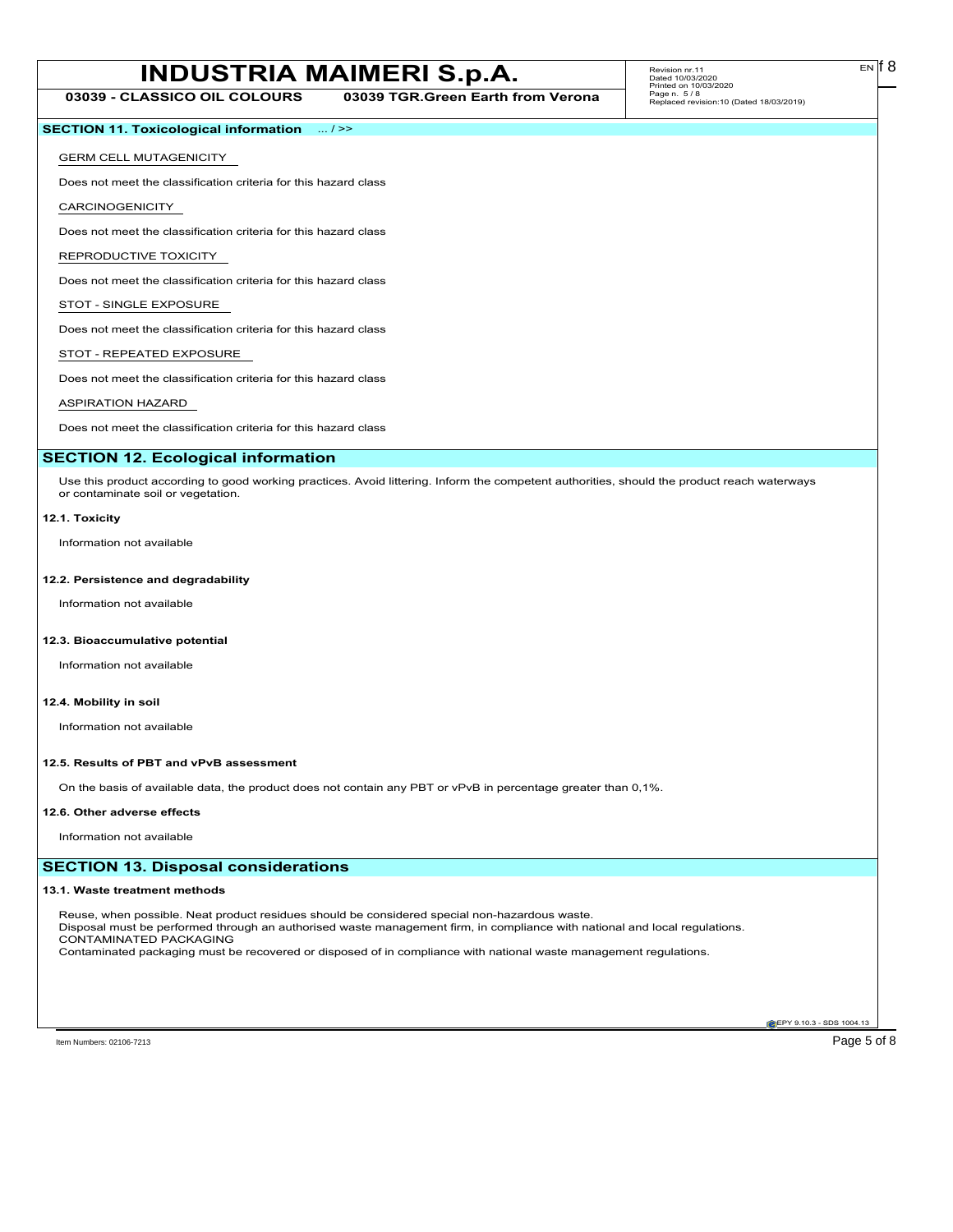**03039 - CLASSICO OIL COLOURS 03039 TGR.Green Earth from Verona**

# **SECTION 11. Toxicological information** ... / >>

# GERM CELL MUTAGENICITY

Does not meet the classification criteria for this hazard class

CARCINOGENICITY

Does not meet the classification criteria for this hazard class

# REPRODUCTIVE TOXICITY

Does not meet the classification criteria for this hazard class

# STOT - SINGLE EXPOSURE

Does not meet the classification criteria for this hazard class

# STOT - REPEATED EXPOSURE

Does not meet the classification criteria for this hazard class

# ASPIRATION HAZARD

Does not meet the classification criteria for this hazard class

# **SECTION 12. Ecological information**

Use this product according to good working practices. Avoid littering. Inform the competent authorities, should the product reach waterways or contaminate soil or vegetation.

## **12.1. Toxicity**

Information not available

## **12.2. Persistence and degradability**

Information not available

## **12.3. Bioaccumulative potential**

Information not available

# **12.4. Mobility in soil**

Information not available

## **12.5. Results of PBT and vPvB assessment**

On the basis of available data, the product does not contain any PBT or vPvB in percentage greater than 0,1%.

## **12.6. Other adverse effects**

Information not available

# **SECTION 13. Disposal considerations**

## **13.1. Waste treatment methods**

Reuse, when possible. Neat product residues should be considered special non-hazardous waste. Disposal must be performed through an authorised waste management firm, in compliance with national and local regulations. CONTAMINATED PACKAGING Contaminated packaging must be recovered or disposed of in compliance with national waste management regulations.

**EPY 9.10.3 - SDS 1004.13**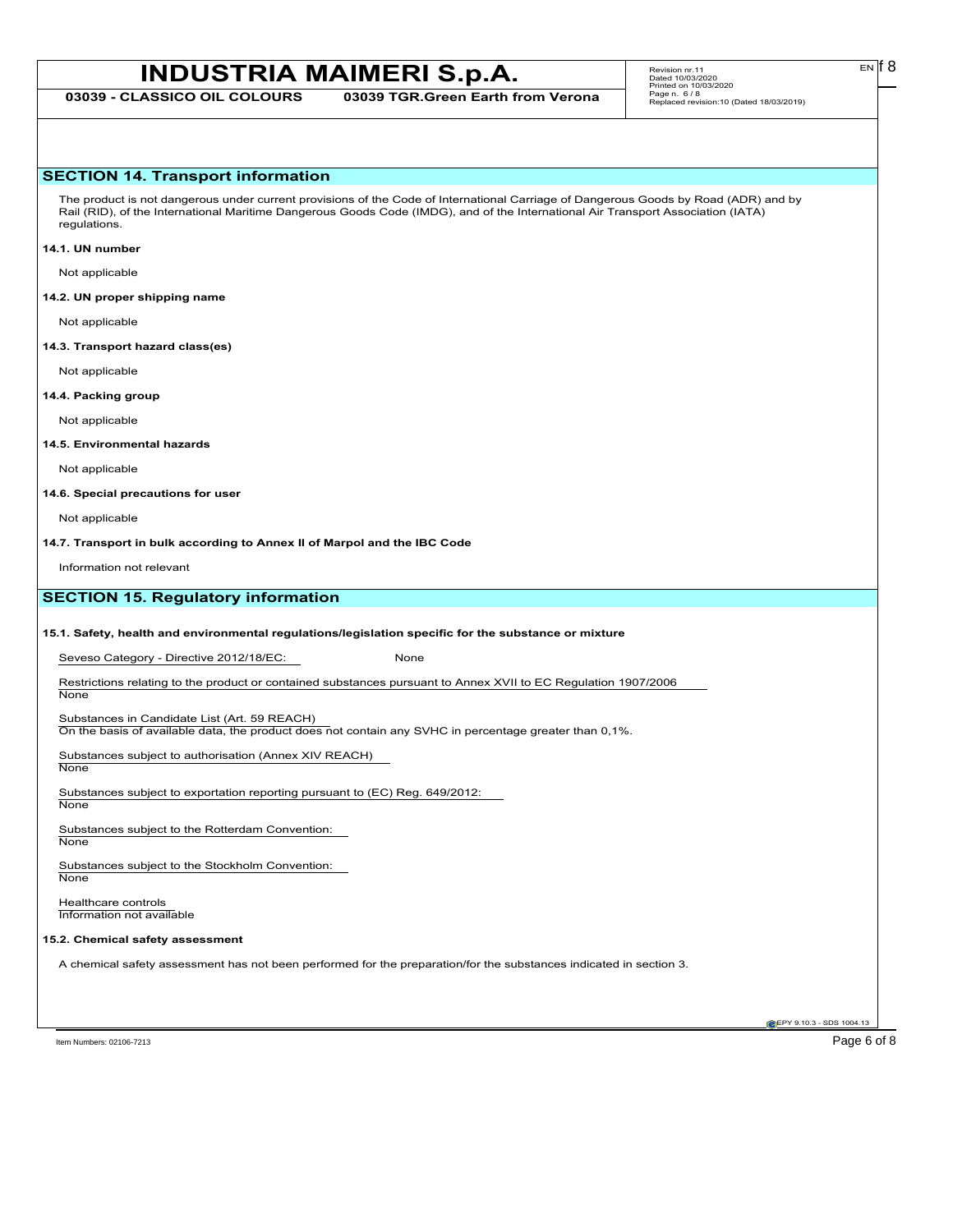**03039 - CLASSICO OIL COLOURS 03039 TGR.Green Earth from Verona**

EN

# **SECTION 14. Transport information**

The product is not dangerous under current provisions of the Code of International Carriage of Dangerous Goods by Road (ADR) and by Rail (RID), of the International Maritime Dangerous Goods Code (IMDG), and of the International Air Transport Association (IATA) regulations.

## **14.1. UN number**

Not applicable

## **14.2. UN proper shipping name**

Not applicable

#### **14.3. Transport hazard class(es)**

Not applicable

## **14.4. Packing group**

Not applicable

## **14.5. Environmental hazards**

Not applicable

### **14.6. Special precautions for user**

Not applicable

**14.7. Transport in bulk according to Annex II of Marpol and the IBC Code**

Information not relevant

# **SECTION 15. Regulatory information**

## **15.1. Safety, health and environmental regulations/legislation specific for the substance or mixture**

Seveso Category - Directive 2012/18/EC: None

Restrictions relating to the product or contained substances pursuant to Annex XVII to EC Regulation 1907/2006 **None** 

## Substances in Candidate List (Art. 59 REACH)

On the basis of available data, the product does not contain any SVHC in percentage greater than 0,1%.

Substances subject to authorisation (Annex XIV REACH) **None** 

Substances subject to exportation reporting pursuant to (EC) Reg. 649/2012:

**None** 

Substances subject to the Rotterdam Convention: None

Substances subject to the Stockholm Convention: **None** 

Healthcare controls Information not available

## **15.2. Chemical safety assessment**

A chemical safety assessment has not been performed for the preparation/for the substances indicated in section 3.

Item Numbers: 02106-7213 Page 6 of 8

**EPY 9.10.3 - SDS 1004.13**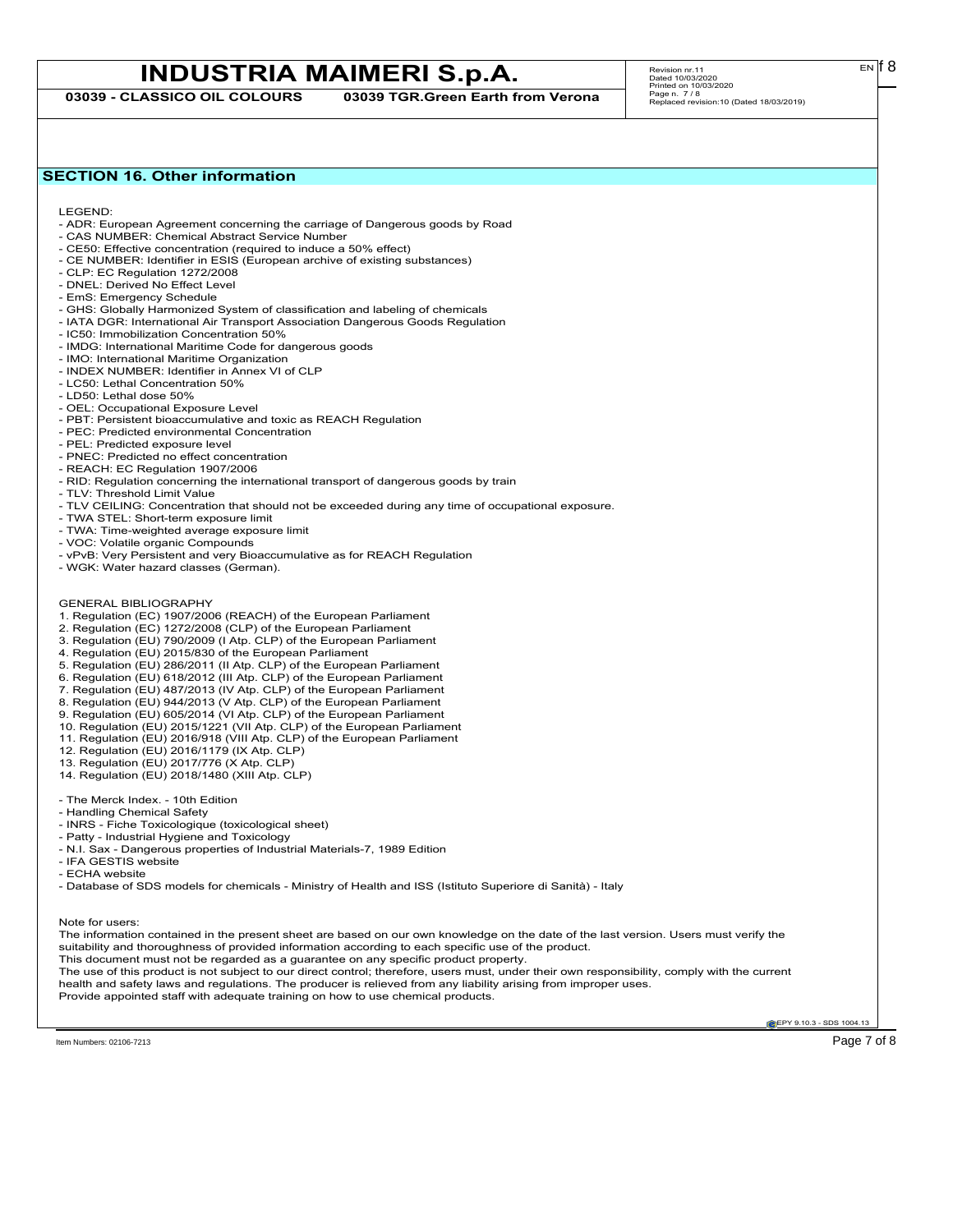**03039 - CLASSICO OIL COLOURS 03039 TGR.Green Earth from Verona**

 $E<sub>N</sub>$  18

# **SECTION 16. Other information**

LEGEND:

- ADR: European Agreement concerning the carriage of Dangerous goods by Road
- CAS NUMBER: Chemical Abstract Service Number - CE50: Effective concentration (required to induce a 50% effect)
- CE NUMBER: Identifier in ESIS (European archive of existing substances)
- CLP: EC Regulation 1272/2008
- DNEL: Derived No Effect Level
- EmS: Emergency Schedule
- GHS: Globally Harmonized System of classification and labeling of chemicals
- IATA DGR: International Air Transport Association Dangerous Goods Regulation
- IC50: Immobilization Concentration 50%
- IMDG: International Maritime Code for dangerous goods
- IMO: International Maritime Organization
- INDEX NUMBER: Identifier in Annex VI of CLP
- LC50: Lethal Concentration 50%
- LD50: Lethal dose 50%
- OEL: Occupational Exposure Level
- PBT: Persistent bioaccumulative and toxic as REACH Regulation
- PEC: Predicted environmental Concentration
- PEL: Predicted exposure level
- PNEC: Predicted no effect concentration
- REACH: EC Regulation 1907/2006
- RID: Regulation concerning the international transport of dangerous goods by train
- TLV: Threshold Limit Value
- TLV CEILING: Concentration that should not be exceeded during any time of occupational exposure.
- TWA STEL: Short-term exposure limit
- TWA: Time-weighted average exposure limit
- VOC: Volatile organic Compounds
- vPvB: Very Persistent and very Bioaccumulative as for REACH Regulation
- WGK: Water hazard classes (German).
- GENERAL BIBLIOGRAPHY
- 1. Regulation (EC) 1907/2006 (REACH) of the European Parliament
- 2. Regulation (EC) 1272/2008 (CLP) of the European Parliament
- 3. Regulation (EU) 790/2009 (I Atp. CLP) of the European Parliament
- 4. Regulation (EU) 2015/830 of the European Parliament
- 5. Regulation (EU) 286/2011 (II Atp. CLP) of the European Parliament
- 6. Regulation (EU) 618/2012 (III Atp. CLP) of the European Parliament
- 7. Regulation (EU) 487/2013 (IV Atp. CLP) of the European Parliament
- 8. Regulation (EU) 944/2013 (V Atp. CLP) of the European Parliament
- 9. Regulation (EU) 605/2014 (VI Atp. CLP) of the European Parliament
- 10. Regulation (EU) 2015/1221 (VII Atp. CLP) of the European Parliament
- 11. Regulation (EU) 2016/918 (VIII Atp. CLP) of the European Parliament
- 12. Regulation (EU) 2016/1179 (IX Atp. CLP)
- 13. Regulation (EU) 2017/776 (X Atp. CLP)
- 14. Regulation (EU) 2018/1480 (XIII Atp. CLP)
- The Merck Index. 10th Edition
- Handling Chemical Safety
- INRS Fiche Toxicologique (toxicological sheet)
- Patty Industrial Hygiene and Toxicology
- N.I. Sax Dangerous properties of Industrial Materials-7, 1989 Edition
- IFA GESTIS website
- ECHA website
- Database of SDS models for chemicals Ministry of Health and ISS (Istituto Superiore di Sanità) Italy

Note for users:

The information contained in the present sheet are based on our own knowledge on the date of the last version. Users must verify the suitability and thoroughness of provided information according to each specific use of the product. This document must not be regarded as a guarantee on any specific product property. The use of this product is not subject to our direct control; therefore, users must, under their own responsibility, comply with the current health and safety laws and regulations. The producer is relieved from any liability arising from improper uses.

Provide appointed staff with adequate training on how to use chemical products.

**EPY 9.10.3 - SDS 1004.13** 

Item Numbers: 02106-7213 **Page 7 of 8**